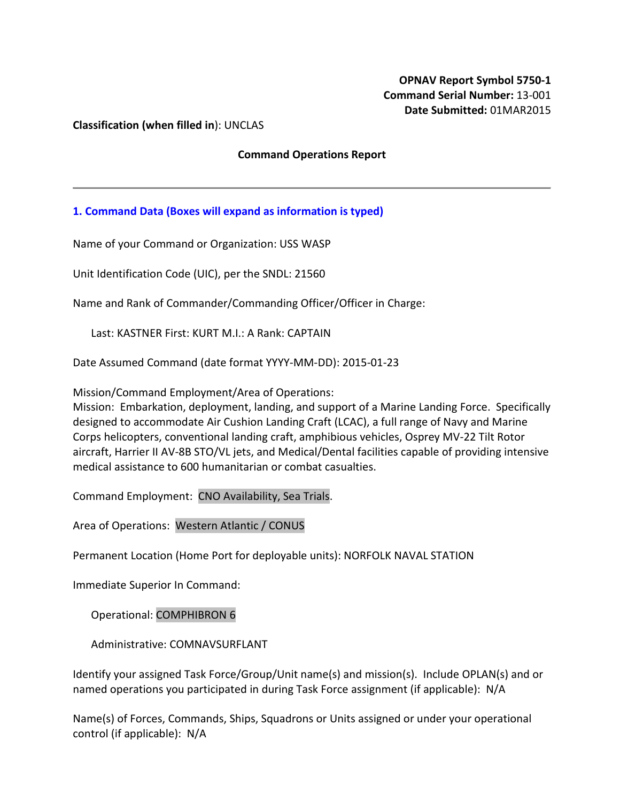**Classification (when filled in**): UNCLAS

### **Command Operations Report**

# **1. Command Data (Boxes will expand as information is typed)**

Name of your Command or Organization: USS WASP

Unit Identification Code (UIC), per the SNDL: 21560

Name and Rank of Commander/Commanding Officer/Officer in Charge:

Last: KASTNER First: KURT M.I.: A Rank: CAPTAIN

Date Assumed Command (date format YYYY-MM-DD): 2015-01-23

Mission/Command Employment/Area of Operations:

Mission: Embarkation, deployment, landing, and support of a Marine Landing Force. Specifically designed to accommodate Air Cushion Landing Craft (LCAC), a full range of Navy and Marine Corps helicopters, conventional landing craft, amphibious vehicles, Osprey MV-22 Tilt Rotor aircraft, Harrier II AV-8B STO/VL jets, and Medical/Dental facilities capable of providing intensive medical assistance to 600 humanitarian or combat casualties.

Command Employment: CNO Availability, Sea Trials.

Area of Operations: Western Atlantic / CONUS

Permanent Location (Home Port for deployable units): NORFOLK NAVAL STATION

Immediate Superior In Command:

Operational: COMPHIBRON 6

Administrative: COMNAVSURFLANT

Identify your assigned Task Force/Group/Unit name(s) and mission(s). Include OPLAN(s) and or named operations you participated in during Task Force assignment (if applicable): N/A

Name(s) of Forces, Commands, Ships, Squadrons or Units assigned or under your operational control (if applicable): N/A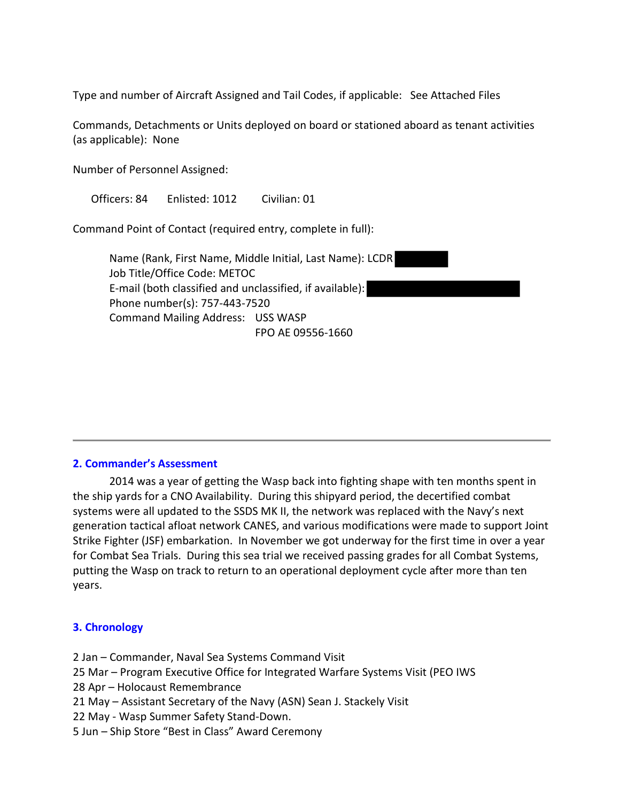Type and number of Aircraft Assigned and Tail Codes, if applicable: See Attached Files

Commands, Detachments or Units deployed on board or stationed aboard as tenant activities (as applicable): None

Number of Personnel Assigned:

Officers: 84 Enlisted: 1012 Civilian: 01

Command Point of Contact (required entry, complete in full):

Name (Rank, First Name, Middle Initial, Last Name): LCDR Job Title/Office Code: METOC E-mail (both classified and unclassified, if available): Phone number(s): 757-443-7520 Command Mailing Address: USS WASP FPO AE 09556-1660

#### **2. Commander's Assessment**

2014 was a year of getting the Wasp back into fighting shape with ten months spent in the ship yards for a CNO Availability. During this shipyard period, the decertified combat systems were all updated to the SSDS MK II, the network was replaced with the Navy's next generation tactical afloat network CANES, and various modifications were made to support Joint Strike Fighter (JSF) embarkation. In November we got underway for the first time in over a year for Combat Sea Trials. During this sea trial we received passing grades for all Combat Systems, putting the Wasp on track to return to an operational deployment cycle after more than ten years.

## **3. Chronology**

- 2 Jan Commander, Naval Sea Systems Command Visit
- 25 Mar Program Executive Office for Integrated Warfare Systems Visit (PEO IWS
- 28 Apr Holocaust Remembrance
- 21 May Assistant Secretary of the Navy (ASN) Sean J. Stackely Visit
- 22 May Wasp Summer Safety Stand-Down.
- 5 Jun Ship Store "Best in Class" Award Ceremony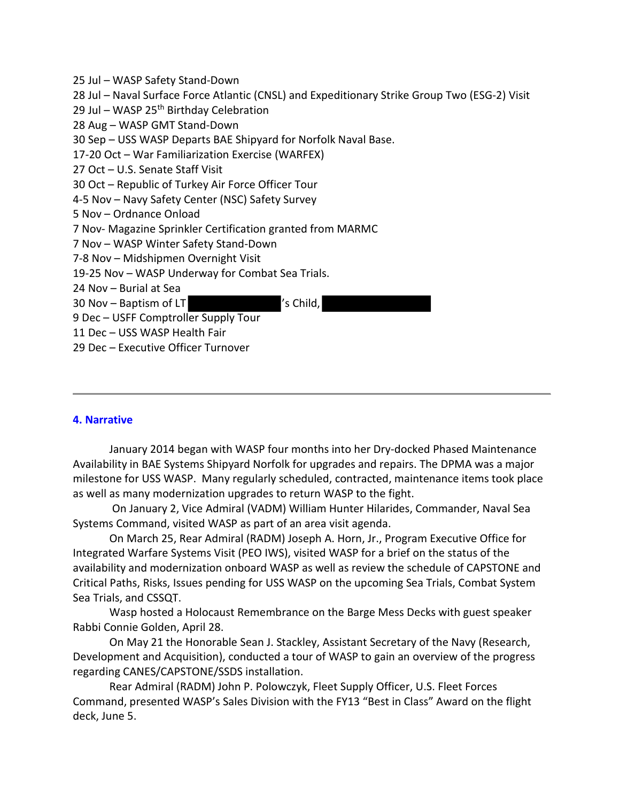- 25 Jul WASP Safety Stand-Down
- 28 Jul Naval Surface Force Atlantic (CNSL) and Expeditionary Strike Group Two (ESG-2) Visit
- 29 Jul WASP 25<sup>th</sup> Birthday Celebration
- 28 Aug WASP GMT Stand-Down
- 30 Sep USS WASP Departs BAE Shipyard for Norfolk Naval Base.
- 17-20 Oct War Familiarization Exercise (WARFEX)
- 27 Oct U.S. Senate Staff Visit
- 30 Oct Republic of Turkey Air Force Officer Tour
- 4-5 Nov Navy Safety Center (NSC) Safety Survey
- 5 Nov Ordnance Onload
- 7 Nov- Magazine Sprinkler Certification granted from MARMC
- 7 Nov WASP Winter Safety Stand-Down
- 7-8 Nov Midshipmen Overnight Visit
- 19-25 Nov WASP Underway for Combat Sea Trials.
- 24 Nov Burial at Sea
- 30 Nov Baptism of LT Your Management of LT

- 9 Dec USFF Comptroller Supply Tour
- 11 Dec USS WASP Health Fair
- 29 Dec Executive Officer Turnover

## **4. Narrative**

January 2014 began with WASP four months into her Dry-docked Phased Maintenance Availability in BAE Systems Shipyard Norfolk for upgrades and repairs. The DPMA was a major milestone for USS WASP. Many regularly scheduled, contracted, maintenance items took place as well as many modernization upgrades to return WASP to the fight.

On January 2, Vice Admiral (VADM) William Hunter Hilarides, Commander, Naval Sea Systems Command, visited WASP as part of an area visit agenda.

On March 25, Rear Admiral (RADM) Joseph A. Horn, Jr., Program Executive Office for Integrated Warfare Systems Visit (PEO IWS), visited WASP for a brief on the status of the availability and modernization onboard WASP as well as review the schedule of CAPSTONE and Critical Paths, Risks, Issues pending for USS WASP on the upcoming Sea Trials, Combat System Sea Trials, and CSSQT.

Wasp hosted a Holocaust Remembrance on the Barge Mess Decks with guest speaker Rabbi Connie Golden, April 28.

On May 21 the Honorable Sean J. Stackley, Assistant Secretary of the Navy (Research, Development and Acquisition), conducted a tour of WASP to gain an overview of the progress regarding CANES/CAPSTONE/SSDS installation.

Rear Admiral (RADM) John P. Polowczyk, Fleet Supply Officer, U.S. Fleet Forces Command, presented WASP's Sales Division with the FY13 "Best in Class" Award on the flight deck, June 5.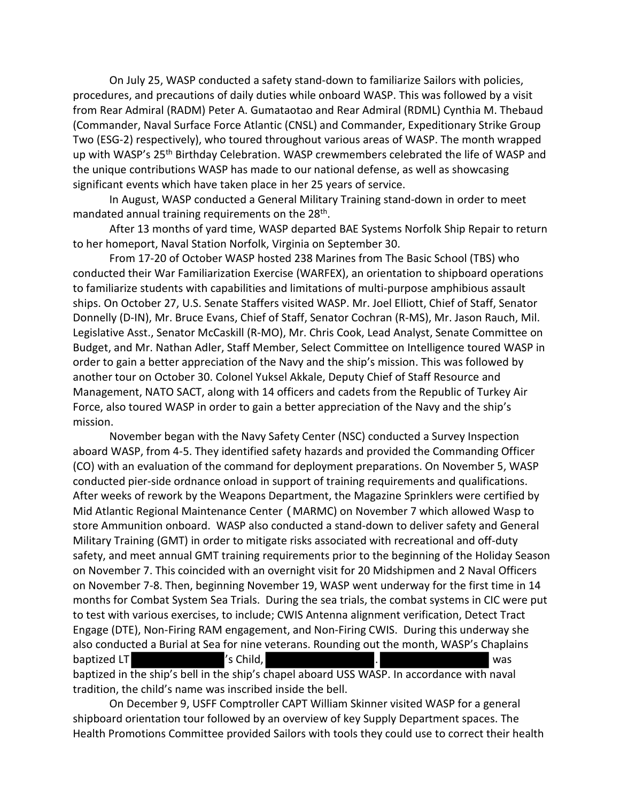On July 25, WASP conducted a safety stand-down to familiarize Sailors with policies, procedures, and precautions of daily duties while onboard WASP. This was followed by a visit from Rear Admiral (RADM) Peter A. Gumataotao and Rear Admiral (RDML) Cynthia M. Thebaud (Commander, Naval Surface Force Atlantic (CNSL) and Commander, Expeditionary Strike Group Two (ESG-2) respectively), who toured throughout various areas of WASP. The month wrapped up with WASP's 25<sup>th</sup> Birthday Celebration. WASP crewmembers celebrated the life of WASP and the unique contributions WASP has made to our national defense, as well as showcasing significant events which have taken place in her 25 years of service.

In August, WASP conducted a General Military Training stand-down in order to meet mandated annual training requirements on the 28<sup>th</sup>.

After 13 months of yard time, WASP departed BAE Systems Norfolk Ship Repair to return to her homeport, Naval Station Norfolk, Virginia on September 30.

From 17-20 of October WASP hosted 238 Marines from The Basic School (TBS) who conducted their War Familiarization Exercise (WARFEX), an orientation to shipboard operations to familiarize students with capabilities and limitations of multi-purpose amphibious assault ships. On October 27, U.S. Senate Staffers visited WASP. Mr. Joel Elliott, Chief of Staff, Senator Donnelly (D-IN), Mr. Bruce Evans, Chief of Staff, Senator Cochran (R-MS), Mr. Jason Rauch, Mil. Legislative Asst., Senator McCaskill (R-MO), Mr. Chris Cook, Lead Analyst, Senate Committee on Budget, and Mr. Nathan Adler, Staff Member, Select Committee on Intelligence toured WASP in order to gain a better appreciation of the Navy and the ship's mission. This was followed by another tour on October 30. Colonel Yuksel Akkale, Deputy Chief of Staff Resource and Management, NATO SACT, along with 14 officers and cadets from the Republic of Turkey Air Force, also toured WASP in order to gain a better appreciation of the Navy and the ship's mission.

November began with the Navy Safety Center (NSC) conducted a Survey Inspection aboard WASP, from 4-5. They identified safety hazards and provided the Commanding Officer (CO) with an evaluation of the command for deployment preparations. On November 5, WASP conducted pier-side ordnance onload in support of training requirements and qualifications. After weeks of rework by the Weapons Department, the Magazine Sprinklers were certified by Mid Atlantic Regional Maintenance Center (MARMC) on November 7 which allowed Wasp to store Ammunition onboard. WASP also conducted a stand-down to deliver safety and General Military Training (GMT) in order to mitigate risks associated with recreational and off-duty safety, and meet annual GMT training requirements prior to the beginning of the Holiday Season on November 7. This coincided with an overnight visit for 20 Midshipmen and 2 Naval Officers on November 7-8. Then, beginning November 19, WASP went underway for the first time in 14 months for Combat System Sea Trials. During the sea trials, the combat systems in CIC were put to test with various exercises, to include; CWIS Antenna alignment verification, Detect Tract Engage (DTE), Non-Firing RAM engagement, and Non-Firing CWIS. During this underway she also conducted a Burial at Sea for nine veterans. Rounding out the month, WASP's Chaplains baptized LT  $\qquad$  's Child,  $\qquad \qquad$  . baptized in the ship's bell in the ship's chapel aboard USS WASP. In accordance with naval tradition, the child's name was inscribed inside the bell.

On December 9, USFF Comptroller CAPT William Skinner visited WASP for a general shipboard orientation tour followed by an overview of key Supply Department spaces. The Health Promotions Committee provided Sailors with tools they could use to correct their health